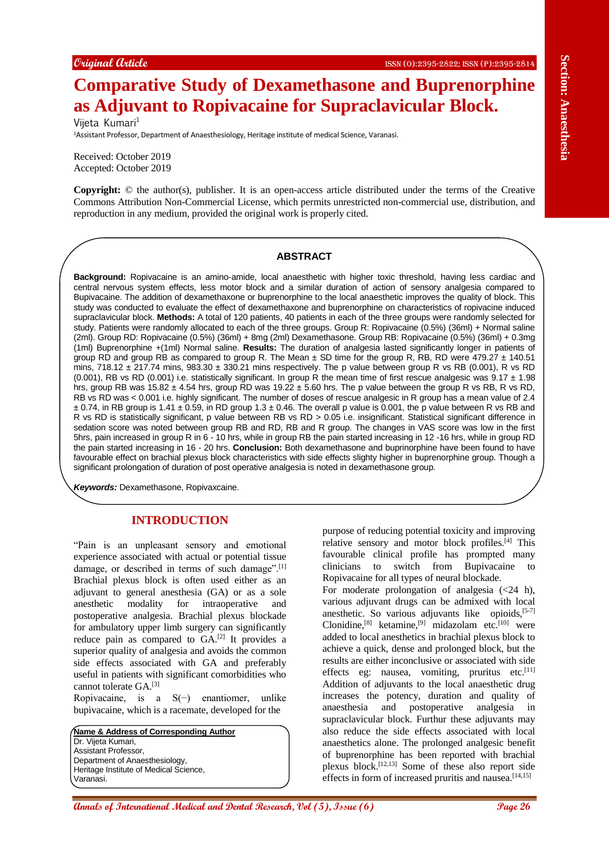# **Comparative Study of Dexamethasone and Buprenorphine as Adjuvant to Ropivacaine for Supraclavicular Block.**

Vijeta Kumari<sup>1</sup>

<sup>1</sup>Assistant Professor, Department of Anaesthesiology, Heritage institute of medical Science, Varanasi.

Received: October 2019 Accepted: October 2019

**Copyright:** © the author(s), publisher. It is an open-access article distributed under the terms of the Creative Commons Attribution Non-Commercial License, which permits unrestricted non-commercial use, distribution, and reproduction in any medium, provided the original work is properly cited.

# **ABSTRACT**

**Example (dente) Also consider the second and Benefit Consider the Section 2011 (Comparison) As a function 30 and Dental Research (Section 2012) As a function 30 and Dental Research (Section 2013) Consider the sec Background:** Ropivacaine is an amino-amide, local anaesthetic with higher toxic threshold, having less cardiac and central nervous system effects, less motor block and a similar duration of action of sensory analgesia compared to Bupivacaine. The addition of dexamethaxone or buprenorphine to the local anaesthetic improves the quality of block. This study was conducted to evaluate the effect of dexamethaxone and buprenorphine on characteristics of ropivacine induced supraclavicular block. **Methods:** A total of 120 patients, 40 patients in each of the three groups were randomly selected for study. Patients were randomly allocated to each of the three groups. Group R: Ropivacaine (0.5%) (36ml) + Normal saline (2ml). Group RD: Ropivacaine (0.5%) (36ml) + 8mg (2ml) Dexamethasone. Group RB: Ropivacaine (0.5%) (36ml) + 0.3mg (1ml) Buprenorphine +(1ml) Normal saline. **Results:** The duration of analgesia lasted significantly longer in patients of group RD and group RB as compared to group R. The Mean  $\pm$  SD time for the group R, RB, RD were 479.27  $\pm$  140.51 mins, 718.12  $\pm$  217.74 mins, 983.30  $\pm$  330.21 mins respectively. The p value between group R vs RB (0.001), R vs RD (0.001), RB vs RD (0.001) i.e. statistically significant. In group R the mean time of first rescue analgesic was  $9.17 \pm 1.98$ hrs, group RB was 15.82 ± 4.54 hrs, group RD was 19.22 ± 5.60 hrs. The p value between the group R vs RB, R vs RD, RB vs RD was < 0.001 i.e. highly significant. The number of doses of rescue analgesic in R group has a mean value of 2.4  $\pm$  0.74, in RB group is 1.41  $\pm$  0.59, in RD group 1.3  $\pm$  0.46. The overall p value is 0.001, the p value between R vs RB and R vs RD is statistically significant, p value between RB vs RD > 0.05 i.e. insignificant. Statistical significant difference in sedation score was noted between group RB and RD, RB and R group. The changes in VAS score was low in the first 5hrs, pain increased in group R in 6 - 10 hrs, while in group RB the pain started increasing in 12 -16 hrs, while in group RD the pain started increasing in 16 - 20 hrs. **Conclusion:** Both dexamethasone and buprinorphine have been found to have favourable effect on brachial plexus block characteristics with side effects slighty higher in buprenorphine group. Though a significant prolongation of duration of post operative analgesia is noted in dexamethasone group.

*Keywords:* Dexamethasone, Ropivaxcaine.

# **INTRODUCTION**

"Pain is an unpleasant sensory and emotional experience associated with actual or potential tissue damage, or described in terms of such damage".<sup>[1]</sup> Brachial plexus block is often used either as an adjuvant to general anesthesia (GA) or as a sole anesthetic modality for intraoperative and postoperative analgesia. Brachial plexus blockade for ambulatory upper limb surgery can significantly reduce pain as compared to  $GA$ <sup>[2]</sup> It provides a superior quality of analgesia and avoids the common side effects associated with GA and preferably useful in patients with significant comorbidities who cannot tolerate GA.[3]

Ropivacaine, is a S(−) enantiomer, unlike bupivacaine, which is a racemate, developed for the

**Name & Address of Corresponding Author** Dr. Vijeta Kumari, Assistant Professor, Department of Anaesthesiology, Heritage Institute of Medical Science, Varanasi.

purpose of reducing potential toxicity and improving relative sensory and motor block profiles.<sup>[4]</sup> This favourable clinical profile has prompted many clinicians to switch from Bupivacaine to Ropivacaine for all types of neural blockade.

For moderate prolongation of analgesia  $\langle$  <24 h), various adjuvant drugs can be admixed with local anesthetic. So various adjuvants like opioids,<sup>[5-7]</sup> Clonidine,<sup>[8]</sup> ketamine,<sup>[9]</sup> midazolam etc.<sup>[10]</sup> were added to local anesthetics in brachial plexus block to achieve a quick, dense and prolonged block, but the results are either inconclusive or associated with side effects eg: nausea, vomiting, pruritus etc.<sup>[11]</sup> Addition of adjuvants to the local anaesthetic drug increases the potency, duration and quality of anaesthesia and postoperative analgesia in supraclavicular block. Furthur these adjuvants may also reduce the side effects associated with local anaesthetics alone. The prolonged analgesic benefit of buprenorphine has been reported with brachial plexus block.[12,13] Some of these also report side effects in form of increased pruritis and nausea.<sup>[14,15]</sup>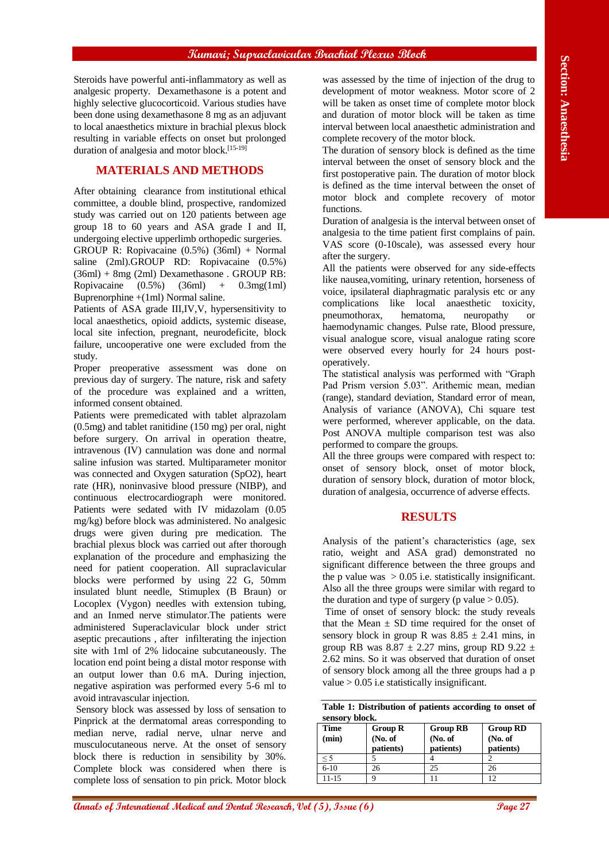Steroids have powerful anti-inflammatory as well as analgesic property. Dexamethasone is a potent and highly selective glucocorticoid. Various studies have been done using dexamethasone 8 mg as an adjuvant to local anaesthetics mixture in brachial plexus block resulting in variable effects on onset but prolonged duration of analgesia and motor block.<sup>[15-19]</sup>

# **MATERIALS AND METHODS**

After obtaining clearance from institutional ethical committee, a double blind, prospective, randomized study was carried out on 120 patients between age group 18 to 60 years and ASA grade I and II, undergoing elective upperlimb orthopedic surgeries. GROUP R: Ropivacaine (0.5%) (36ml) + Normal saline (2ml).GROUP RD: Ropivacaine (0.5%) (36ml) + 8mg (2ml) Dexamethasone . GROUP RB: Ropivacaine (0.5%) (36ml) + 0.3mg(1ml) Buprenorphine +(1ml) Normal saline.

Patients of ASA grade III,IV,V, hypersensitivity to local anaesthetics, opioid addicts, systemic disease, local site infection, pregnant, neurodeficite, block failure, uncooperative one were excluded from the study.

Proper preoperative assessment was done on previous day of surgery. The nature, risk and safety of the procedure was explained and a written, informed consent obtained.

Scores have prevented anti-time and the section of the section of the section of the section of International Medical and The section of International Medical and The section of International Medical anti-time in the sect Patients were premedicated with tablet alprazolam (0.5mg) and tablet ranitidine (150 mg) per oral, night before surgery. On arrival in operation theatre, intravenous (IV) cannulation was done and normal saline infusion was started. Multiparameter monitor was connected and Oxygen saturation (SpO2), heart rate (HR), noninvasive blood pressure (NIBP), and continuous electrocardiograph were monitored. Patients were sedated with IV midazolam (0.05 mg/kg) before block was administered. No analgesic drugs were given during pre medication. The brachial plexus block was carried out after thorough explanation of the procedure and emphasizing the need for patient cooperation. All supraclavicular blocks were performed by using 22 G, 50mm insulated blunt needle, Stimuplex (B Braun) or Locoplex (Vygon) needles with extension tubing, and an Inmed nerve stimulator.The patients were administered Superaclavicular block under strict aseptic precautions , after infilterating the injection site with 1ml of 2% lidocaine subcutaneously. The location end point being a distal motor response with an output lower than 0.6 mA. During injection, negative aspiration was performed every 5-6 ml to avoid intravascular injection.

Sensory block was assessed by loss of sensation to Pinprick at the dermatomal areas corresponding to median nerve, radial nerve, ulnar nerve and musculocutaneous nerve. At the onset of sensory block there is reduction in sensibility by 30%. Complete block was considered when there is complete loss of sensation to pin prick. Motor block

was assessed by the time of injection of the drug to development of motor weakness. Motor score of 2 will be taken as onset time of complete motor block and duration of motor block will be taken as time interval between local anaesthetic administration and complete recovery of the motor block.

The duration of sensory block is defined as the time interval between the onset of sensory block and the first postoperative pain. The duration of motor block is defined as the time interval between the onset of motor block and complete recovery of motor functions.

Duration of analgesia is the interval between onset of analgesia to the time patient first complains of pain. VAS score (0-10scale), was assessed every hour after the surgery.

All the patients were observed for any side-effects like nausea,vomiting, urinary retention, horseness of voice, ipsilateral diaphragmatic paralysis etc or any complications like local anaesthetic toxicity, pneumothorax, hematoma, neuropathy or haemodynamic changes. Pulse rate, Blood pressure, visual analogue score, visual analogue rating score were observed every hourly for 24 hours postoperatively.

The statistical analysis was performed with "Graph Pad Prism version 5.03". Arithemic mean, median (range), standard deviation, Standard error of mean, Analysis of variance (ANOVA), Chi square test were performed, wherever applicable, on the data. Post ANOVA multiple comparison test was also performed to compare the groups.

All the three groups were compared with respect to: onset of sensory block, onset of motor block, duration of sensory block, duration of motor block, duration of analgesia, occurrence of adverse effects.

# **RESULTS**

Analysis of the patient's characteristics (age, sex ratio, weight and ASA grad) demonstrated no significant difference between the three groups and the p value was  $> 0.05$  i.e. statistically insignificant. Also all the three groups were similar with regard to the duration and type of surgery (p value  $> 0.05$ ).

Time of onset of sensory block: the study reveals that the Mean  $\pm$  SD time required for the onset of sensory block in group R was  $8.85 \pm 2.41$  mins, in group RB was  $8.87 \pm 2.27$  mins, group RD 9.22  $\pm$ 2.62 mins. So it was observed that duration of onset of sensory block among all the three groups had a p value  $> 0.05$  i.e statistically insignificant.

**Table 1: Distribution of patients according to onset of sensory block.**

| Time<br>(min) | <b>Group R</b><br>(No. of)<br>patients) | <b>Group RB</b><br>(No. of<br>patients) | <b>Group RD</b><br>(No. of<br>patients) |
|---------------|-----------------------------------------|-----------------------------------------|-----------------------------------------|
| $<$ 5         |                                         |                                         |                                         |
| $6 - 10$      | 26                                      | 25                                      | 26                                      |
| 11-15         |                                         |                                         |                                         |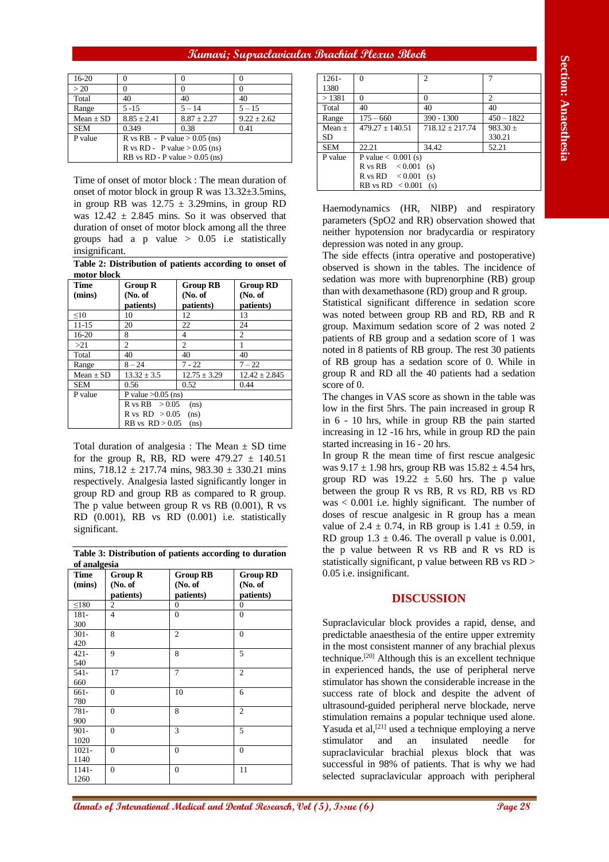| $16-20$       |                                  |                 |               |
|---------------|----------------------------------|-----------------|---------------|
| >20           |                                  |                 |               |
| Total         | 40                               | 40              | 40            |
| Range         | $5 - 15$                         | $5 - 14$        | $5 - 15$      |
| Mean $\pm$ SD | $8.85 \pm 2.41$                  | $8.87 \pm 2.27$ | $9.22 + 2.62$ |
| <b>SEM</b>    | 0.349                            | 0.38            | 0.41          |
| P value       | R vs RB - P value $> 0.05$ (ns)  |                 |               |
|               | R vs RD - P value $> 0.05$ (ns)  |                 |               |
|               | RB vs RD - P value $> 0.05$ (ns) |                 |               |

**Table 2: Distribution of patients according to onset of motor block**

| Time<br>(mins) | <b>Group R</b><br>(No. of          | <b>Group RB</b><br>(No. of | <b>Group RD</b><br>(No. of |
|----------------|------------------------------------|----------------------------|----------------------------|
|                | patients)                          | patients)                  | patients)                  |
| $\leq 10$      | 10                                 | 12                         | 13                         |
| $11 - 15$      | 20                                 | 22                         | 24                         |
| 16-20          | 8                                  | 4                          | 2                          |
| >21            | 2                                  | 2                          |                            |
| Total          | 40                                 | 40                         | 40                         |
| Range          | $8 - 24$                           | $7 - 22$                   | $7 - 22$                   |
| Mean $\pm$ SD  | $13.32 \pm 3.5$                    | $12.75 \pm 3.29$           | $12.42 \pm 2.845$          |
| <b>SEM</b>     | 0.56                               | 0.52                       | 0.44                       |
| P value        | P value $>0.05$ (ns)               |                            |                            |
|                | $R$ vs $RB$ > 0.05<br>(ns)         |                            |                            |
|                | $R$ vs $RD > 0.05$<br>(ns)         |                            |                            |
|                | $RB \text{ vs } RD > 0.05$<br>(ns) |                            |                            |

**Table 3: Distribution of patients according to duration of analgesia**

| 16-20                    |                              |                                                                                                           |                                |
|--------------------------|------------------------------|-----------------------------------------------------------------------------------------------------------|--------------------------------|
|                          | $\mathbf{0}$                 | $\mathbf{0}$                                                                                              | $\Omega$                       |
| >20<br>Total             | $\mathbf{0}$<br>40           | $\mathbf{0}$<br>40                                                                                        | $\theta$<br>40                 |
| Range                    | $5 - 15$                     | $5 - 14$                                                                                                  | $5 - 15$                       |
| $Mean \pm SD$            | $8.85 \pm 2.41$              | $8.87 \pm 2.27$                                                                                           | $9.22 \pm 2.62$                |
| SEM<br>P value           | 0.349                        | 0.38<br>R vs RB - P value $> 0.05$ (ns)                                                                   | 0.41                           |
|                          |                              | R vs RD - P value $> 0.05$ (ns)                                                                           |                                |
|                          |                              | RB vs RD - P value $> 0.05$ (ns)                                                                          |                                |
|                          |                              |                                                                                                           |                                |
|                          |                              | Time of onset of motor block : The mean duration of<br>onset of motor block in group R was 13.32±3.5mins, |                                |
|                          |                              | in group RB was $12.75 \pm 3.29$ mins, in group RD                                                        |                                |
|                          |                              | was $12.42 \pm 2.845$ mins. So it was observed that                                                       |                                |
|                          |                              | duration of onset of motor block among all the three                                                      |                                |
|                          |                              | groups had a $p$ value $> 0.05$ i.e statistically                                                         |                                |
| insignificant.           |                              |                                                                                                           |                                |
|                          |                              | Table 2: Distribution of patients according to onset of                                                   |                                |
| motor block              |                              |                                                                                                           |                                |
| <b>Time</b><br>(mins)    | <b>Group R</b><br>(No. of    | <b>Group RB</b><br>(No. of                                                                                | <b>Group RD</b><br>No. of      |
|                          | patients)                    | patients)                                                                                                 | patients)                      |
| $\leq 10$                | 10                           | 12                                                                                                        | 13                             |
| $11 - 15$                | 20                           | 22                                                                                                        | 24                             |
| 16-20<br>>21             | 8<br>$\overline{c}$          | 4<br>$\overline{2}$                                                                                       | $\overline{c}$<br>$\mathbf{1}$ |
| Total                    | 40                           | 40                                                                                                        | 40                             |
| Range                    | $8 - 24$                     | $7 - 22$                                                                                                  | $7 - 22$                       |
| $Mean \pm \overline{SD}$ | $13.32 \pm 3.5$              | $12.75 \pm 3.29$                                                                                          | $12.42 \pm 2.845$              |
| <b>SEM</b><br>P value    | 0.56<br>P value $>0.05$ (ns) | 0.52                                                                                                      | 0.44                           |
|                          |                              | (ns)                                                                                                      |                                |
|                          | R vs RB > 0.05               |                                                                                                           |                                |
|                          | R vs $RD > 0.05$             | (ns)                                                                                                      |                                |
|                          | RB vs $RD > 0.05$            | (n <sub>S</sub> )                                                                                         |                                |
|                          |                              |                                                                                                           |                                |
|                          |                              | Total duration of analgesia : The Mean $\pm$ SD time                                                      |                                |
|                          |                              | for the group R, RB, RD were $479.27 \pm 140.51$                                                          |                                |
|                          |                              | mins, $718.12 \pm 217.74$ mins, $983.30 \pm 330.21$ mins                                                  |                                |
|                          |                              | respectively. Analgesia lasted significantly longer in                                                    |                                |
|                          |                              | group RD and group RB as compared to R group.                                                             |                                |
|                          |                              | The p value between group R vs RB $(0.001)$ , R vs                                                        |                                |
|                          |                              | RD (0.001), RB vs RD (0.001) i.e. statistically                                                           |                                |
| significant.             |                              |                                                                                                           |                                |
|                          |                              | Table 3: Distribution of patients according to duration                                                   |                                |
| of analgesia             |                              |                                                                                                           |                                |
| <b>Time</b>              | <b>Group R</b>               | <b>Group RB</b>                                                                                           | <b>Group RD</b>                |
| (mins)                   | (No. of<br>patients)         | (No. of<br>patients)                                                                                      | (No. of<br>patients)           |
| ${\leq}180$              | $\boldsymbol{2}$             | $\boldsymbol{0}$                                                                                          | $\mathbf{0}$                   |
| $181 -$                  | $\overline{4}$               | $\Omega$                                                                                                  | $\Omega$                       |
| 300                      |                              |                                                                                                           |                                |
| $301 -$<br>420           | 8                            | $\overline{c}$                                                                                            | $\mathbf{0}$                   |
| $421 -$                  | 9                            | 8                                                                                                         | 5                              |
| 540                      |                              |                                                                                                           |                                |
| $541 -$<br>660           | 17                           | $\tau$                                                                                                    | $\mathfrak{2}$                 |
| 661-                     | $\overline{0}$               | 10                                                                                                        | 6                              |
| 780                      |                              |                                                                                                           |                                |
| $781 -$                  | $\Omega$                     | 8                                                                                                         | $\overline{2}$                 |
| 900<br>$901 -$           | $\theta$                     | 3                                                                                                         | 5                              |
| 1020                     |                              |                                                                                                           |                                |
| $1021 -$                 | $\mathbf{0}$                 | $\boldsymbol{0}$                                                                                          | $\mathbf{0}$                   |
| 1140                     |                              |                                                                                                           |                                |
| $1141 -$<br>1260         | $\mathbf{0}$                 | $\overline{0}$                                                                                            | 11                             |

| $1261 -$   | $\Omega$                              | $\mathfrak{2}$    |              |  |
|------------|---------------------------------------|-------------------|--------------|--|
| 1380       |                                       |                   |              |  |
| >1381      | $\Omega$                              | $\theta$          | 2            |  |
| Total      | 40                                    | 40                | 40           |  |
| Range      | $175 - 660$                           | $390 - 1300$      | $450 - 1822$ |  |
| $Mean +$   | $479.27 \pm 140.51$                   | $718.12 + 217.74$ | $983.30 \pm$ |  |
| SD.        |                                       |                   | 330.21       |  |
| <b>SEM</b> | 22.21                                 | 34.42             | 52.21        |  |
| P value    | P value $< 0.001$ (s)                 |                   |              |  |
|            | < 0.001<br>R vs RB<br>(s)             |                   |              |  |
|            | ${}_{< 0.001}$<br>R vs RD<br>(s)      |                   |              |  |
|            | $RB \text{ vs } RD \leq 0.001$<br>(s) |                   |              |  |

# **DISCUSSION**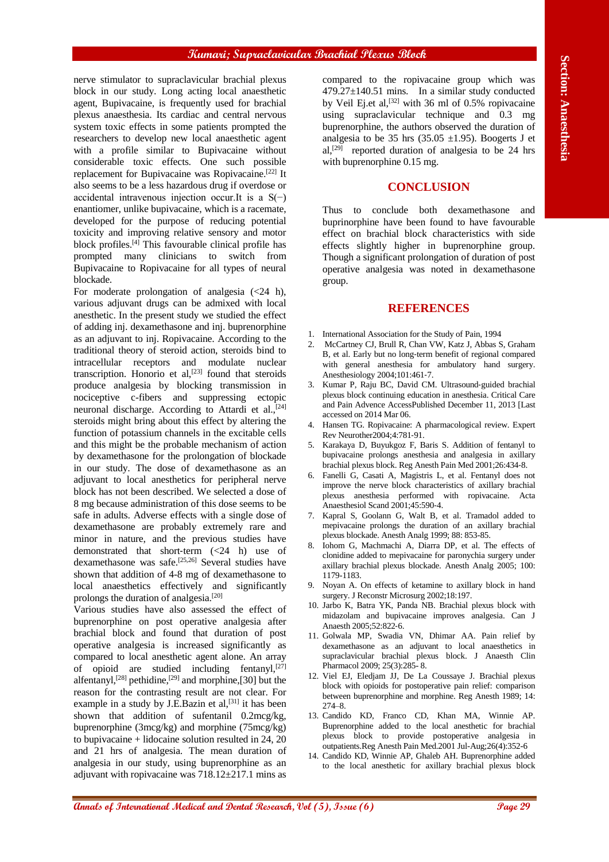nerve stimulator to supraclavicular brachial plexus block in our study. Long acting local anaesthetic agent, Bupivacaine, is frequently used for brachial plexus anaesthesia. Its cardiac and central nervous system toxic effects in some patients prompted the researchers to develop new local anaesthetic agent with a profile similar to Bupivacaine without considerable toxic effects. One such possible replacement for Bupivacaine was Ropivacaine.[22] It also seems to be a less hazardous drug if overdose or accidental intravenous injection occur.It is a  $S(−)$ enantiomer, unlike bupivacaine, which is a racemate, developed for the purpose of reducing potential toxicity and improving relative sensory and motor block profiles.[4] This favourable clinical profile has prompted many clinicians to switch from Bupivacaine to Ropivacaine for all types of neural blockade.

**Another is equilibrium to the effect of International Medical and the effect of International Medical Anaesthesia<br>
<b>Annals of International Medical and Dental Research (2), Issue (8), Issue (8), Issue (8), Issue (8), Iss** For moderate prolongation of analgesia  $(\leq 24$  h), various adjuvant drugs can be admixed with local anesthetic. In the present study we studied the effect of adding inj. dexamethasone and inj. buprenorphine as an adjuvant to inj. Ropivacaine. According to the traditional theory of steroid action, steroids bind to intracellular receptors and modulate nuclear transcription. Honorio et al, $^{[23]}$  found that steroids produce analgesia by blocking transmission in nociceptive c-fibers and suppressing ectopic neuronal discharge. According to Attardi et al.,<sup>[24]</sup> steroids might bring about this effect by altering the function of potassium channels in the excitable cells and this might be the probable mechanism of action by dexamethasone for the prolongation of blockade in our study. The dose of dexamethasone as an adjuvant to local anesthetics for peripheral nerve block has not been described. We selected a dose of 8 mg because administration of this dose seems to be safe in adults. Adverse effects with a single dose of dexamethasone are probably extremely rare and minor in nature, and the previous studies have demonstrated that short-term (<24 h) use of dexamethasone was safe.[25,26] Several studies have shown that addition of 4-8 mg of dexamethasone to local anaesthetics effectively and significantly prolongs the duration of analgesia.[20]

Various studies have also assessed the effect of buprenorphine on post operative analgesia after brachial block and found that duration of post operative analgesia is increased significantly as compared to local anesthetic agent alone. An array of opioid are studied including fentanyl, $[27]$ alfentanyl,<sup>[28]</sup> pethidine,<sup>[29]</sup> and morphine,[30] but the reason for the contrasting result are not clear. For example in a study by J.E.Bazin et al, $[31]$  it has been shown that addition of sufentanil 0.2mcg/kg, buprenorphine (3mcg/kg) and morphine (75mcg/kg) to bupivacaine + lidocaine solution resulted in 24, 20 and 21 hrs of analgesia. The mean duration of analgesia in our study, using buprenorphine as an adjuvant with ropivacaine was 718.12±217.1 mins as

compared to the ropivacaine group which was  $479.27 \pm 140.51$  mins. In a similar study conducted by Veil Ej.et al,<sup>[32]</sup> with 36 ml of 0.5% ropivacaine using supraclavicular technique and 0.3 mg buprenorphine, the authors observed the duration of analgesia to be 35 hrs  $(35.05 \pm 1.95)$ . Boogerts J et al,<sup>[29]</sup> reported duration of analgesia to be 24 hrs with buprenorphine 0.15 mg.

# **CONCLUSION**

Thus to conclude both dexamethasone and buprinorphine have been found to have favourable effect on brachial block characteristics with side effects slightly higher in buprenorphine group. Though a significant prolongation of duration of post operative analgesia was noted in dexamethasone group.

#### **REFERENCES**

- 1. International Association for the Study of Pain, 1994
- 2. McCartney CJ, Brull R, Chan VW, Katz J, Abbas S, Graham B, et al. Early but no long‑term benefit of regional compared with general anesthesia for ambulatory hand surgery. Anesthesiology 2004;101:461‑7.
- Kumar P, Raju BC, David CM. Ultrasound-guided brachial plexus block continuing education in anesthesia. Critical Care and Pain Advence AccessPublished December 11, 2013 [Last accessed on 2014 Mar 06.
- 4. Hansen TG. Ropivacaine: A pharmacological review. Expert Rev Neurother2004;4:781‑91.
- 5. Karakaya D, Buyukgoz F, Baris S. Addition of fentanyl to bupivacaine prolongs anesthesia and analgesia in axillary brachial plexus block. Reg Anesth Pain Med 2001;26:434‑8.
- 6. Fanelli G, Casati A, Magistris L, et al. Fentanyl does not improve the nerve block characteristics of axillary brachial plexus anesthesia performed with ropivacaine. Acta Anaesthesiol Scand 2001;45:590‑4.
- 7. Kapral S, Goolann G, Walt B, et al. Tramadol added to mepivacaine prolongs the duration of an axillary brachial plexus blockade. Anesth Analg 1999; 88: 853-85.
- 8. Iohom G, Machmachi A, Diarra DP, et al. The effects of clonidine added to mepivacaine for paronychia surgery under axillary brachial plexus blockade. Anesth Analg 2005; 100: 1179-1183.
- Noyan A. On effects of ketamine to axillary block in hand surgery. J Reconstr Microsurg 2002;18:197.
- 10. Jarbo K, Batra YK, Panda NB. Brachial plexus block with midazolam and bupivacaine improves analgesia. Can J Anaesth 2005;52:822‑6.
- 11. Golwala MP, Swadia VN, Dhimar AA. Pain relief by dexamethasone as an adjuvant to local anaesthetics in supraclavicular brachial plexus block. J Anaesth Clin Pharmacol 2009; 25(3):285- 8.
- 12. Viel EJ, Eledjam JJ, De La Coussaye J. Brachial plexus block with opioids for postoperative pain relief: comparison between buprenorphine and morphine. Reg Anesth 1989; 14: 274–8.
- 13. Candido KD, Franco CD, Khan MA, Winnie AP. Buprenorphine added to the local anesthetic for brachial plexus block to provide postoperative analgesia in outpatients.Reg Anesth Pain Med.2001 Jul-Aug;26(4):352-6
- 14. Candido KD, Winnie AP, Ghaleb AH. Buprenorphine added to the local anesthetic for axillary brachial plexus block